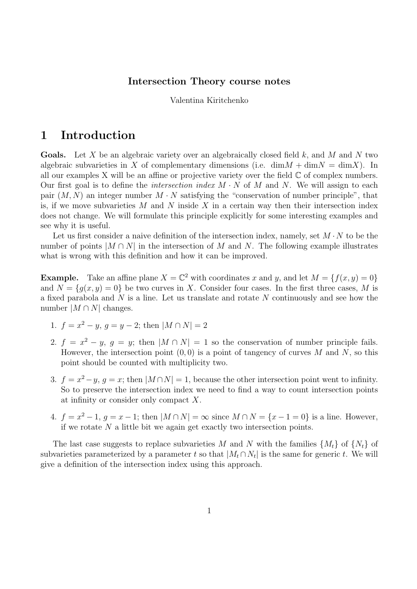#### Intersection Theory course notes

Valentina Kiritchenko

# 1 Introduction

**Goals.** Let X be an algebraic variety over an algebraically closed field  $k$ , and M and N two algebraic subvarieties in X of complementary dimensions (i.e.  $\dim M + \dim N = \dim X$ ). In all our examples X will be an affine or projective variety over the field  $\mathbb C$  of complex numbers. Our first goal is to define the *intersection index*  $M \cdot N$  of M and N. We will assign to each pair  $(M, N)$  an integer number  $M \cdot N$  satisfying the "conservation of number principle", that is, if we move subvarieties M and N inside X in a certain way then their intersection index does not change. We will formulate this principle explicitly for some interesting examples and see why it is useful.

Let us first consider a naive definition of the intersection index, namely, set  $M \cdot N$  to be the number of points  $|M \cap N|$  in the intersection of M and N. The following example illustrates what is wrong with this definition and how it can be improved.

**Example.** Take an affine plane  $X = \mathbb{C}^2$  with coordinates x and y, and let  $M = \{f(x, y) = 0\}$ and  $N = \{q(x, y) = 0\}$  be two curves in X. Consider four cases. In the first three cases, M is a fixed parabola and N is a line. Let us translate and rotate N continuously and see how the number  $|M \cap N|$  changes.

- 1.  $f = x^2 y$ ,  $g = y 2$ ; then  $|M \cap N| = 2$
- 2.  $f = x^2 y$ ,  $g = y$ ; then  $|M \cap N| = 1$  so the conservation of number principle fails. However, the intersection point  $(0, 0)$  is a point of tangency of curves M and N, so this point should be counted with multiplicity two.
- 3.  $f = x^2 y$ ,  $g = x$ ; then  $|M \cap N| = 1$ , because the other intersection point went to infinity. So to preserve the intersection index we need to find a way to count intersection points at infinity or consider only compact X.
- 4.  $f = x^2 1$ ,  $g = x 1$ ; then  $|M \cap N| = \infty$  since  $M \cap N = \{x 1 = 0\}$  is a line. However, if we rotate  $N$  a little bit we again get exactly two intersection points.

The last case suggests to replace subvarieties M and N with the families  $\{M_t\}$  of  $\{N_t\}$  of subvarieties parameterized by a parameter t so that  $|M_t \cap N_t|$  is the same for generic t. We will give a definition of the intersection index using this approach.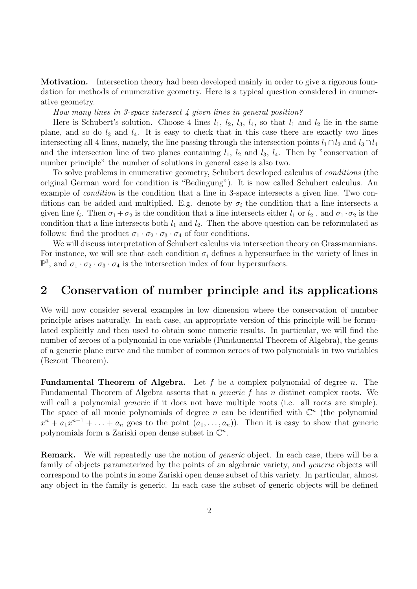Motivation. Intersection theory had been developed mainly in order to give a rigorous foundation for methods of enumerative geometry. Here is a typical question considered in enumerative geometry.

How many lines in 3-space intersect 4 given lines in general position?

Here is Schubert's solution. Choose 4 lines  $l_1$ ,  $l_2$ ,  $l_3$ ,  $l_4$ , so that  $l_1$  and  $l_2$  lie in the same plane, and so do  $l_3$  and  $l_4$ . It is easy to check that in this case there are exactly two lines intersecting all 4 lines, namely, the line passing through the intersection points  $l_1 \cap l_2$  and  $l_3 \cap l_4$ and the intersection line of two planes containing  $l_1$ ,  $l_2$  and  $l_3$ ,  $l_4$ . Then by "conservation of number principle" the number of solutions in general case is also two.

To solve problems in enumerative geometry, Schubert developed calculus of conditions (the original German word for condition is "Bedingung"). It is now called Schubert calculus. An example of condition is the condition that a line in 3-space intersects a given line. Two conditions can be added and multiplied. E.g. denote by  $\sigma_i$  the condition that a line intersects a given line  $l_i$ . Then  $\sigma_1 + \sigma_2$  is the condition that a line intersects either  $l_1$  or  $l_2$ , and  $\sigma_1 \cdot \sigma_2$  is the condition that a line intersects both  $l_1$  and  $l_2$ . Then the above question can be reformulated as follows: find the product  $\sigma_1 \cdot \sigma_2 \cdot \sigma_3 \cdot \sigma_4$  of four conditions.

We will discuss interpretation of Schubert calculus via intersection theory on Grassmannians. For instance, we will see that each condition  $\sigma_i$  defines a hypersurface in the variety of lines in  $\mathbb{P}^3$ , and  $\sigma_1 \cdot \sigma_2 \cdot \sigma_3 \cdot \sigma_4$  is the intersection index of four hypersurfaces.

## 2 Conservation of number principle and its applications

We will now consider several examples in low dimension where the conservation of number principle arises naturally. In each case, an appropriate version of this principle will be formulated explicitly and then used to obtain some numeric results. In particular, we will find the number of zeroes of a polynomial in one variable (Fundamental Theorem of Algebra), the genus of a generic plane curve and the number of common zeroes of two polynomials in two variables (Bezout Theorem).

**Fundamental Theorem of Algebra.** Let f be a complex polynomial of degree n. The Fundamental Theorem of Algebra asserts that a *generic f* has *n* distinct complex roots. We will call a polynomial *generic* if it does not have multiple roots (i.e. all roots are simple). The space of all monic polynomials of degree *n* can be identified with  $\mathbb{C}^n$  (the polynomial  $x^{n} + a_{1}x^{n-1} + \ldots + a_{n}$  goes to the point  $(a_{1}, \ldots, a_{n})$ ). Then it is easy to show that generic polynomials form a Zariski open dense subset in  $\mathbb{C}^n$ .

**Remark.** We will repeatedly use the notion of *generic* object. In each case, there will be a family of objects parameterized by the points of an algebraic variety, and *generic* objects will correspond to the points in some Zariski open dense subset of this variety. In particular, almost any object in the family is generic. In each case the subset of generic objects will be defined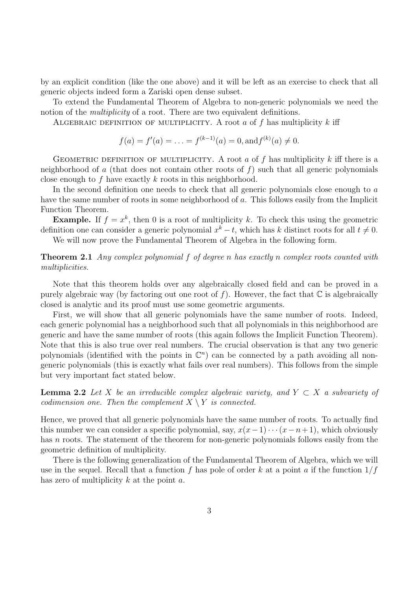by an explicit condition (like the one above) and it will be left as an exercise to check that all generic objects indeed form a Zariski open dense subset.

To extend the Fundamental Theorem of Algebra to non-generic polynomials we need the notion of the *multiplicity* of a root. There are two equivalent definitions.

ALGEBRAIC DEFINITION OF MULTIPLICITY. A root a of f has multiplicity k iff

$$
f(a) = f'(a) = \ldots = f^{(k-1)}(a) = 0, \text{and } f^{(k)}(a) \neq 0.
$$

GEOMETRIC DEFINITION OF MULTIPLICITY. A root a of f has multiplicity k iff there is a neighborhood of a (that does not contain other roots of  $f$ ) such that all generic polynomials close enough to f have exactly k roots in this neighborhood.

In the second definition one needs to check that all generic polynomials close enough to a have the same number of roots in some neighborhood of a. This follows easily from the Implicit Function Theorem.

**Example.** If  $f = x^k$ , then 0 is a root of multiplicity k. To check this using the geometric definition one can consider a generic polynomial  $x^k - t$ , which has k distinct roots for all  $t \neq 0$ .

We will now prove the Fundamental Theorem of Algebra in the following form.

**Theorem 2.1** Any complex polynomial f of degree n has exactly n complex roots counted with multiplicities.

Note that this theorem holds over any algebraically closed field and can be proved in a purely algebraic way (by factoring out one root of f). However, the fact that  $\mathbb C$  is algebraically closed is analytic and its proof must use some geometric arguments.

First, we will show that all generic polynomials have the same number of roots. Indeed, each generic polynomial has a neighborhood such that all polynomials in this neighborhood are generic and have the same number of roots (this again follows the Implicit Function Theorem). Note that this is also true over real numbers. The crucial observation is that any two generic polynomials (identified with the points in  $\mathbb{C}^n$ ) can be connected by a path avoiding all nongeneric polynomials (this is exactly what fails over real numbers). This follows from the simple but very important fact stated below.

**Lemma 2.2** Let X be an irreducible complex algebraic variety, and  $Y \subset X$  a subvariety of codimension one. Then the complement  $X \setminus Y$  is connected.

Hence, we proved that all generic polynomials have the same number of roots. To actually find this number we can consider a specific polynomial, say,  $x(x-1)\cdots(x-n+1)$ , which obviously has  $n$  roots. The statement of the theorem for non-generic polynomials follows easily from the geometric definition of multiplicity.

There is the following generalization of the Fundamental Theorem of Algebra, which we will use in the sequel. Recall that a function f has pole of order k at a point a if the function  $1/f$ has zero of multiplicity  $k$  at the point  $a$ .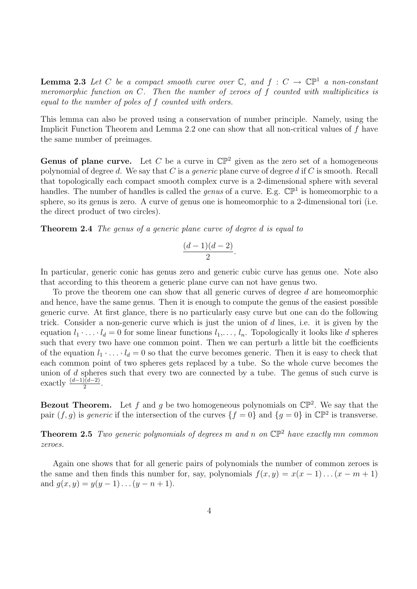**Lemma 2.3** Let C be a compact smooth curve over  $\mathbb{C}$ , and  $f : C \to \mathbb{CP}^1$  a non-constant meromorphic function on C. Then the number of zeroes of f counted with multiplicities is equal to the number of poles of f counted with orders.

This lemma can also be proved using a conservation of number principle. Namely, using the Implicit Function Theorem and Lemma 2.2 one can show that all non-critical values of f have the same number of preimages.

**Genus of plane curve.** Let C be a curve in  $\mathbb{CP}^2$  given as the zero set of a homogeneous polynomial of degree d. We say that C is a *generic* plane curve of degree d if C is smooth. Recall that topologically each compact smooth complex curve is a 2-dimensional sphere with several handles. The number of handles is called the *genus* of a curve. E.g.  $\mathbb{CP}^1$  is homeomorphic to a sphere, so its genus is zero. A curve of genus one is homeomorphic to a 2-dimensional tori (i.e. the direct product of two circles).

Theorem 2.4 The genus of a generic plane curve of degree d is equal to

$$
\frac{(d-1)(d-2)}{2}.
$$

In particular, generic conic has genus zero and generic cubic curve has genus one. Note also that according to this theorem a generic plane curve can not have genus two.

To prove the theorem one can show that all generic curves of degree d are homeomorphic and hence, have the same genus. Then it is enough to compute the genus of the easiest possible generic curve. At first glance, there is no particularly easy curve but one can do the following trick. Consider a non-generic curve which is just the union of d lines, i.e. it is given by the equation  $l_1 \cdot \ldots \cdot l_d = 0$  for some linear functions  $l_1, \ldots, l_n$ . Topologically it looks like d spheres such that every two have one common point. Then we can perturb a little bit the coefficients of the equation  $l_1 \cdot \ldots \cdot l_d = 0$  so that the curve becomes generic. Then it is easy to check that each common point of two spheres gets replaced by a tube. So the whole curve becomes the union of d spheres such that every two are connected by a tube. The genus of such curve is exactly  $\frac{(d-1)(d-2)}{2}$ .

**Bezout Theorem.** Let f and g be two homogeneous polynomials on  $\mathbb{CP}^2$ . We say that the pair  $(f, g)$  is *generic* if the intersection of the curves  $\{f = 0\}$  and  $\{g = 0\}$  in  $\mathbb{CP}^2$  is transverse.

**Theorem 2.5** Two generic polynomials of degrees m and n on  $\mathbb{CP}^2$  have exactly mn common zeroes.

Again one shows that for all generic pairs of polynomials the number of common zeroes is the same and then finds this number for, say, polynomials  $f(x, y) = x(x - 1)...(x - m + 1)$ and  $g(x, y) = y(y - 1)...(y - n + 1)$ .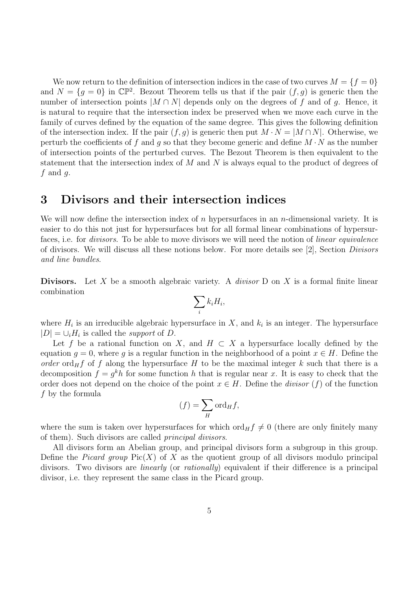We now return to the definition of intersection indices in the case of two curves  $M = \{f = 0\}$ and  $N = \{g = 0\}$  in  $\mathbb{CP}^2$ . Bezout Theorem tells us that if the pair  $(f, g)$  is generic then the number of intersection points  $|M \cap N|$  depends only on the degrees of f and of g. Hence, it is natural to require that the intersection index be preserved when we move each curve in the family of curves defined by the equation of the same degree. This gives the following definition of the intersection index. If the pair  $(f, g)$  is generic then put  $M \cdot N = |M \cap N|$ . Otherwise, we perturb the coefficients of f and g so that they become generic and define  $M \cdot N$  as the number of intersection points of the perturbed curves. The Bezout Theorem is then equivalent to the statement that the intersection index of  $M$  and  $N$  is always equal to the product of degrees of  $f$  and  $g$ .

### 3 Divisors and their intersection indices

We will now define the intersection index of n hypersurfaces in an n-dimensional variety. It is easier to do this not just for hypersurfaces but for all formal linear combinations of hypersurfaces, i.e. for *divisors*. To be able to move divisors we will need the notion of *linear equivalence* of divisors. We will discuss all these notions below. For more details see [2], Section Divisors and line bundles.

**Divisors.** Let X be a smooth algebraic variety. A *divisor* D on X is a formal finite linear combination

$$
\sum_i k_i H_i,
$$

where  $H_i$  is an irreducible algebraic hypersurface in X, and  $k_i$  is an integer. The hypersurface  $|D| = \bigcup_i H_i$  is called the *support* of D.

Let f be a rational function on X, and  $H \subset X$  a hypersurface locally defined by the equation  $g = 0$ , where g is a regular function in the neighborhood of a point  $x \in H$ . Define the order ord<sub>H</sub>f of f along the hypersurface H to be the maximal integer k such that there is a decomposition  $f = g^k h$  for some function h that is regular near x. It is easy to check that the order does not depend on the choice of the point  $x \in H$ . Define the *divisor* (f) of the function f by the formula

$$
(f) = \sum_{H} \text{ord}_{H} f,
$$

where the sum is taken over hypersurfaces for which ord $_{H} f \neq 0$  (there are only finitely many of them). Such divisors are called principal divisors.

All divisors form an Abelian group, and principal divisors form a subgroup in this group. Define the *Picard group*  $Pic(X)$  of X as the quotient group of all divisors modulo principal divisors. Two divisors are *linearly* (or *rationally*) equivalent if their difference is a principal divisor, i.e. they represent the same class in the Picard group.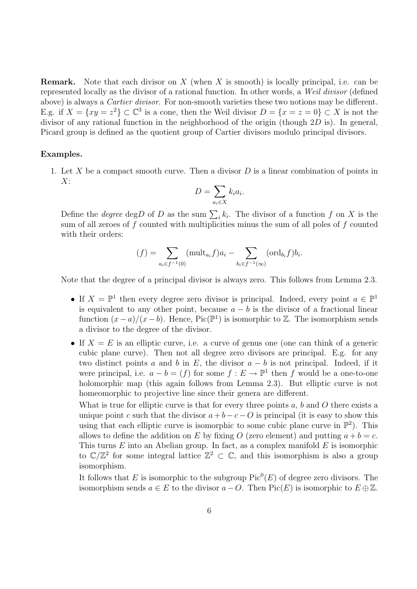**Remark.** Note that each divisor on X (when X is smooth) is locally principal, i.e. can be represented locally as the divisor of a rational function. In other words, a Weil divisor (defined above) is always a Cartier divisor. For non-smooth varieties these two notions may be different. E.g. if  $X = \{xy = z^2\} \subset \mathbb{C}^3$  is a cone, then the Weil divisor  $D = \{x = z = 0\} \subset X$  is not the divisor of any rational function in the neighborhood of the origin (though  $2D$  is). In general, Picard group is defined as the quotient group of Cartier divisors modulo principal divisors.

#### Examples.

1. Let X be a compact smooth curve. Then a divisor  $D$  is a linear combination of points in  $X:$ 

$$
D = \sum_{a_i \in X} k_i a_i.
$$

Define the *degree* deg*D* of *D* as the sum  $\sum_{i} k_i$ . The divisor of a function *f* on *X* is the sum of all zeroes of  $f$  counted with multiplicities minus the sum of all poles of  $f$  counted with their orders:

$$
(f) = \sum_{a_i \in f^{-1}(0)} (\text{mult}_{a_i} f) a_i - \sum_{b_i \in f^{-1}(\infty)} (\text{ord}_{b_i} f) b_i.
$$

Note that the degree of a principal divisor is always zero. This follows from Lemma 2.3.

- If  $X = \mathbb{P}^1$  then every degree zero divisor is principal. Indeed, every point  $a \in \mathbb{P}^1$ is equivalent to any other point, because  $a - b$  is the divisor of a fractional linear function  $(x-a)/(x-b)$ . Hence, Pic( $\mathbb{P}^1$ ) is isomorphic to Z. The isomorphism sends a divisor to the degree of the divisor.
- If  $X = E$  is an elliptic curve, i.e. a curve of genus one (one can think of a generic cubic plane curve). Then not all degree zero divisors are principal. E.g. for any two distinct points a and b in E, the divisor  $a - b$  is not principal. Indeed, if it were principal, i.e.  $a - b = (f)$  for some  $f : E \to \mathbb{P}^1$  then f would be a one-to-one holomorphic map (this again follows from Lemma 2.3). But elliptic curve is not homeomorphic to projective line since their genera are different.

What is true for elliptic curve is that for every three points  $a, b$  and  $O$  there exists a unique point c such that the divisor  $a + b - c - O$  is principal (it is easy to show this using that each elliptic curve is isomorphic to some cubic plane curve in  $\mathbb{P}^2$ ). This allows to define the addition on E by fixing O (zero element) and putting  $a + b = c$ . This turns  $E$  into an Abelian group. In fact, as a complex manifold  $E$  is isomorphic to  $\mathbb{C}/\mathbb{Z}^2$  for some integral lattice  $\mathbb{Z}^2 \subset \mathbb{C}$ , and this isomorphism is also a group isomorphism.

It follows that E is isomorphic to the subgroup  $Pic^0(E)$  of degree zero divisors. The isomorphism sends  $a \in E$  to the divisor  $a - O$ . Then Pic(E) is isomorphic to  $E \oplus \mathbb{Z}$ .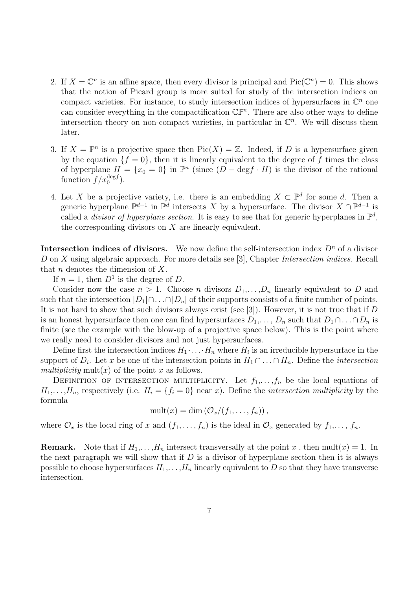- 2. If  $X = \mathbb{C}^n$  is an affine space, then every divisor is principal and  $Pic(\mathbb{C}^n) = 0$ . This shows that the notion of Picard group is more suited for study of the intersection indices on compact varieties. For instance, to study intersection indices of hypersurfaces in  $\mathbb{C}^n$  one can consider everything in the compactification  $\mathbb{CP}^n$ . There are also other ways to define intersection theory on non-compact varieties, in particular in  $\mathbb{C}^n$ . We will discuss them later.
- 3. If  $X = \mathbb{P}^n$  is a projective space then  $Pic(X) = \mathbb{Z}$ . Indeed, if D is a hypersurface given by the equation  $\{f = 0\}$ , then it is linearly equivalent to the degree of f times the class of hyperplane  $H = \{x_0 = 0\}$  in  $\mathbb{P}^n$  (since  $(D - \text{deg} f \cdot H)$  is the divisor of the rational function  $f/x_0^{\text{deg}f}$ ).
- 4. Let X be a projective variety, i.e. there is an embedding  $X \subset \mathbb{P}^d$  for some d. Then a generic hyperplane  $\mathbb{P}^{d-1}$  in  $\mathbb{P}^d$  intersects X by a hypersurface. The divisor  $X \cap \mathbb{P}^{d-1}$  is called a *divisor of hyperplane section*. It is easy to see that for generic hyperplanes in  $\mathbb{P}^d$ , the corresponding divisors on  $X$  are linearly equivalent.

**Intersection indices of divisors.** We now define the self-intersection index  $D^n$  of a divisor D on X using algebraic approach. For more details see [3], Chapter Intersection indices. Recall that  $n$  denotes the dimension of  $X$ .

If  $n = 1$ , then  $D^1$  is the degree of D.

Consider now the case  $n > 1$ . Choose n divisors  $D_1, \ldots, D_n$  linearly equivalent to D and such that the intersection  $|D_1|\cap \ldots \cap |D_n|$  of their supports consists of a finite number of points. It is not hard to show that such divisors always exist (see [3]). However, it is not true that if  $D$ is an honest hypersurface then one can find hypersurfaces  $D_1, \ldots, D_n$  such that  $D_1 \cap \ldots \cap D_n$  is finite (see the example with the blow-up of a projective space below). This is the point where we really need to consider divisors and not just hypersurfaces.

Define first the intersection indices  $H_1 \cdot \ldots \cdot H_n$  where  $H_i$  is an irreducible hypersurface in the support of  $D_i$ . Let x be one of the intersection points in  $H_1 \cap \ldots \cap H_n$ . Define the *intersection* multiplicity mult $(x)$  of the point x as follows.

DEFINITION OF INTERSECTION MULTIPLICITY. Let  $f_1, \ldots, f_n$  be the local equations of  $H_1,\ldots,H_n$ , respectively (i.e.  $H_i = \{f_i = 0\}$  near x). Define the *intersection multiplicity* by the formula

$$
\operatorname{mult}(x)=\dim\left(\mathcal{O}_x/(f_1,\ldots,f_n)\right),
$$

where  $\mathcal{O}_x$  is the local ring of x and  $(f_1, \ldots, f_n)$  is the ideal in  $\mathcal{O}_x$  generated by  $f_1, \ldots, f_n$ .

**Remark.** Note that if  $H_1, \ldots, H_n$  intersect transversally at the point x, then mult $(x) = 1$ . In the next paragraph we will show that if  $D$  is a divisor of hyperplane section then it is always possible to choose hypersurfaces  $H_1, \ldots, H_n$  linearly equivalent to D so that they have transverse intersection.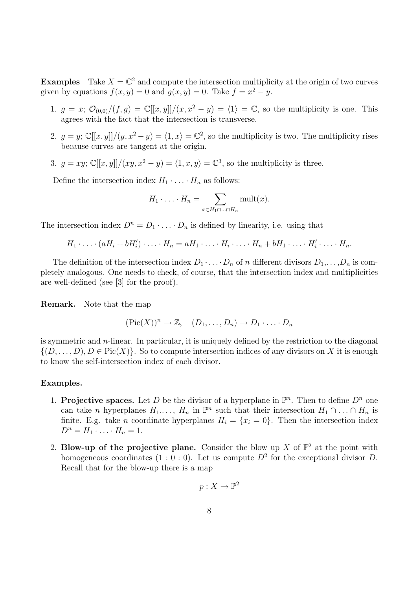**Examples** Take  $X = \mathbb{C}^2$  and compute the intersection multiplicity at the origin of two curves given by equations  $f(x, y) = 0$  and  $g(x, y) = 0$ . Take  $f = x^2 - y$ .

- 1.  $g = x$ ;  $\mathcal{O}_{(0,0)}/(f,g) = \mathbb{C}[[x,y]]/(x,x^2-y) = \langle 1 \rangle = \mathbb{C}$ , so the multiplicity is one. This agrees with the fact that the intersection is transverse.
- 2.  $g = y$ ;  $\mathbb{C}[[x,y]]/(y, x^2 y) = \langle 1, x \rangle = \mathbb{C}^2$ , so the multiplicity is two. The multiplicity rises because curves are tangent at the origin.
- 3.  $g = xy$ ;  $\mathbb{C}[[x, y]]/(xy, x^2 y) = \langle 1, x, y \rangle = \mathbb{C}^3$ , so the multiplicity is three.

Define the intersection index  $H_1 \cdot \ldots \cdot H_n$  as follows:

$$
H_1 \cdot \ldots \cdot H_n = \sum_{x \in H_1 \cap \ldots \cap H_n} \text{mult}(x).
$$

The intersection index  $D^n = D_1 \cdot \ldots \cdot D_n$  is defined by linearity, i.e. using that

$$
H_1 \cdot \ldots \cdot (aH_i + bH'_i) \cdot \ldots \cdot H_n = aH_1 \cdot \ldots \cdot H_i \cdot \ldots \cdot H_n + bH_1 \cdot \ldots \cdot H'_i \cdot \ldots \cdot H_n.
$$

The definition of the intersection index  $D_1 \cdot \ldots \cdot D_n$  of n different divisors  $D_1, \ldots, D_n$  is completely analogous. One needs to check, of course, that the intersection index and multiplicities are well-defined (see [3] for the proof).

Remark. Note that the map

$$
(\text{Pic}(X))^n \to \mathbb{Z}, \quad (D_1, \ldots, D_n) \to D_1 \cdot \ldots \cdot D_n
$$

is symmetric and  $n$ -linear. In particular, it is uniquely defined by the restriction to the diagonal  $\{(D,\ldots,D), D \in \text{Pic}(X)\}\$ . So to compute intersection indices of any divisors on X it is enough to know the self-intersection index of each divisor.

#### Examples.

- 1. Projective spaces. Let D be the divisor of a hyperplane in  $\mathbb{P}^n$ . Then to define  $D^n$  one can take *n* hyperplanes  $H_1, \ldots, H_n$  in  $\mathbb{P}^n$  such that their intersection  $H_1 \cap \ldots \cap H_n$  is finite. E.g. take *n* coordinate hyperplanes  $H_i = \{x_i = 0\}$ . Then the intersection index  $D^n = H_1 \cdot \ldots \cdot H_n = 1.$
- 2. Blow-up of the projective plane. Consider the blow up X of  $\mathbb{P}^2$  at the point with homogeneous coordinates  $(1:0:0)$ . Let us compute  $D^2$  for the exceptional divisor D. Recall that for the blow-up there is a map

$$
p:X\to \mathbb{P}^2
$$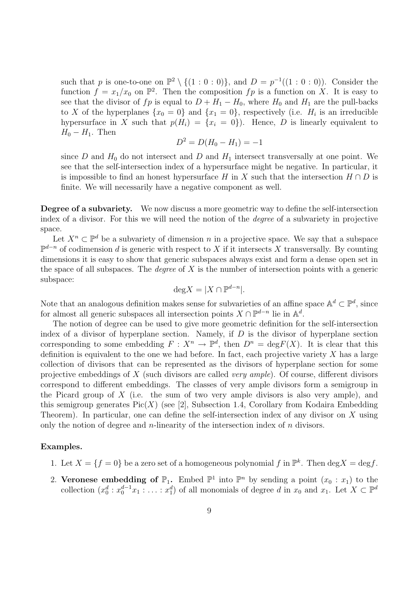such that p is one-to-one on  $\mathbb{P}^2 \setminus \{(1:0:0)\}\)$ , and  $D = p^{-1}((1:0:0))$ . Consider the function  $f = x_1/x_0$  on  $\mathbb{P}^2$ . Then the composition  $fp$  is a function on X. It is easy to see that the divisor of fp is equal to  $D + H_1 - H_0$ , where  $H_0$  and  $H_1$  are the pull-backs to X of the hyperplanes  $\{x_0 = 0\}$  and  $\{x_1 = 0\}$ , respectively (i.e.  $H_i$  is an irreducible hypersurface in X such that  $p(H_i) = \{x_i = 0\}$ . Hence, D is linearly equivalent to  $H_0 - H_1$ . Then

$$
D^2 = D(H_0 - H_1) = -1
$$

since D and  $H_0$  do not intersect and D and  $H_1$  intersect transversally at one point. We see that the self-intersection index of a hypersurface might be negative. In particular, it is impossible to find an honest hypersurface H in X such that the intersection  $H \cap D$  is finite. We will necessarily have a negative component as well.

Degree of a subvariety. We now discuss a more geometric way to define the self-intersection index of a divisor. For this we will need the notion of the degree of a subvariety in projective space.

Let  $X^n \subset \mathbb{P}^d$  be a subvariety of dimension n in a projective space. We say that a subspace  $\mathbb{P}^{d-n}$  of codimension d is generic with respect to X if it intersects X transversally. By counting dimensions it is easy to show that generic subspaces always exist and form a dense open set in the space of all subspaces. The *degree* of  $X$  is the number of intersection points with a generic subspace:

$$
\text{deg} X = |X \cap \mathbb{P}^{d-n}|.
$$

Note that an analogous definition makes sense for subvarieties of an affine space  $\mathbb{A}^d \subset \mathbb{P}^d$ , since for almost all generic subspaces all intersection points  $X \cap \mathbb{P}^{d-n}$  lie in  $\mathbb{A}^d$ .

The notion of degree can be used to give more geometric definition for the self-intersection index of a divisor of hyperplane section. Namely, if  $D$  is the divisor of hyperplane section corresponding to some embedding  $F: X^n \to \mathbb{P}^d$ , then  $D^n = \text{deg} F(X)$ . It is clear that this definition is equivalent to the one we had before. In fact, each projective variety  $X$  has a large collection of divisors that can be represented as the divisors of hyperplane section for some projective embeddings of X (such divisors are called *very ample*). Of course, different divisors correspond to different embeddings. The classes of very ample divisors form a semigroup in the Picard group of  $X$  (i.e. the sum of two very ample divisors is also very ample), and this semigroup generates  $Pic(X)$  (see [2], Subsection 1.4, Corollary from Kodaira Embedding Theorem). In particular, one can define the self-intersection index of any divisor on  $X$  using only the notion of degree and n-linearity of the intersection index of  $n$  divisors.

#### Examples.

- 1. Let  $X = \{f = 0\}$  be a zero set of a homogeneous polynomial f in  $\mathbb{P}^k$ . Then deg  $X = \text{deg} f$ .
- 2. Veronese embedding of  $\mathbb{P}_1$ . Embed  $\mathbb{P}^1$  into  $\mathbb{P}^n$  by sending a point  $(x_0 : x_1)$  to the collection  $(x_0^d : x_0^{d-1}x_1 : \ldots : x_1^d)$  of all monomials of degree d in  $x_0$  and  $x_1$ . Let  $X \subset \mathbb{P}^d$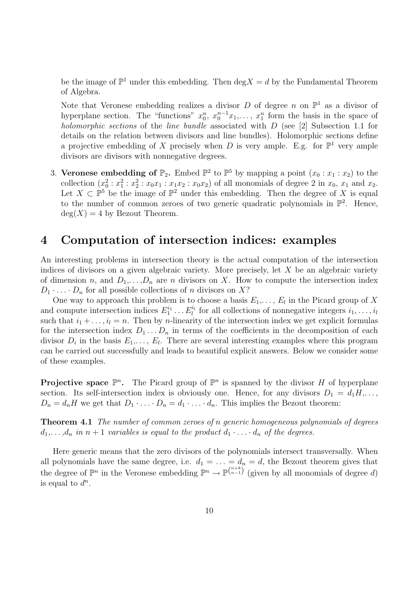be the image of  $\mathbb{P}^1$  under this embedding. Then  $\deg X = d$  by the Fundamental Theorem of Algebra.

Note that Veronese embedding realizes a divisor D of degree n on  $\mathbb{P}^1$  as a divisor of hyperplane section. The "functions"  $x_0^n, x_0^{n-1}x_1, \ldots, x_1^n$  form the basis in the space of holomorphic sections of the line bundle associated with  $D$  (see [2] Subsection 1.1 for details on the relation between divisors and line bundles). Holomorphic sections define a projective embedding of X precisely when D is very ample. E.g. for  $\mathbb{P}^1$  very ample divisors are divisors with nonnegative degrees.

3. Veronese embedding of  $\mathbb{P}_2$ . Embed  $\mathbb{P}^2$  to  $\mathbb{P}^5$  by mapping a point  $(x_0 : x_1 : x_2)$  to the collection  $(x_0^2 : x_1^2 : x_2^2 : x_0x_1 : x_1x_2 : x_0x_2)$  of all monomials of degree 2 in  $x_0$ ,  $x_1$  and  $x_2$ . Let  $X \subset \mathbb{P}^5$  be the image of  $\mathbb{P}^2$  under this embedding. Then the degree of X is equal to the number of common zeroes of two generic quadratic polynomials in  $\mathbb{P}^2$ . Hence,  $deg(X) = 4$  by Bezout Theorem.

### 4 Computation of intersection indices: examples

An interesting problems in intersection theory is the actual computation of the intersection indices of divisors on a given algebraic variety. More precisely, let  $X$  be an algebraic variety of dimension n, and  $D_1, \ldots, D_n$  are n divisors on X. How to compute the intersection index  $D_1 \cdot \ldots \cdot D_n$  for all possible collections of n divisors on X?

One way to approach this problem is to choose a basis  $E_1, \ldots, E_l$  in the Picard group of X and compute intersection indices  $E_1^{i_1} \dots E_l^{i_l}$  for all collections of nonnegative integers  $i_1, \dots, i_l$ such that  $i_1 + \ldots, i_l = n$ . Then by *n*-linearity of the intersection index we get explicit formulas for the intersection index  $D_1 \ldots D_n$  in terms of the coefficients in the decomposition of each divisor  $D_i$  in the basis  $E_1, \ldots, E_l$ . There are several interesting examples where this program can be carried out successfully and leads to beautiful explicit answers. Below we consider some of these examples.

**Projective space**  $\mathbb{P}^n$ . The Picard group of  $\mathbb{P}^n$  is spanned by the divisor H of hyperplane section. Its self-intersection index is obviously one. Hence, for any divisors  $D_1 = d_1H, \ldots$ ,  $D_n = d_n H$  we get that  $D_1 \cdot \ldots \cdot D_n = d_1 \cdot \ldots \cdot d_n$ . This implies the Bezout theorem:

**Theorem 4.1** The number of common zeroes of n generic homogeneous polynomials of degrees  $d_1,\ldots,d_n$  in  $n+1$  variables is equal to the product  $d_1\cdot\ldots\cdot d_n$  of the degrees.

Here generic means that the zero divisors of the polynomials intersect transversally. When all polynomials have the same degree, i.e.  $d_1 = \ldots = d_n = d$ , the Bezout theorem gives that the degree of  $\mathbb{P}^n$  in the Veronese embedding  $\mathbb{P}^n \to \mathbb{P}^{\binom{n+k}{n-1}}$  (given by all monomials of degree d) is equal to  $d^n$ .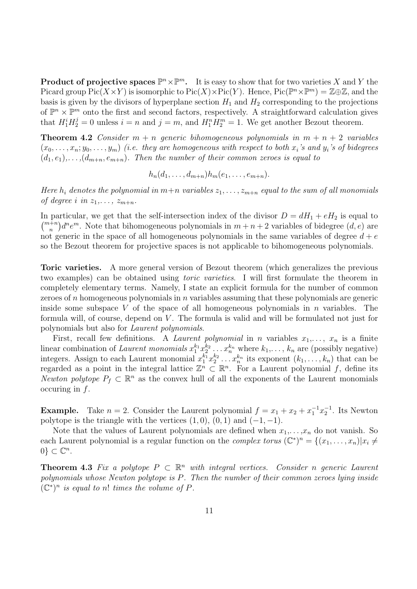**Product of projective spaces**  $\mathbb{P}^n \times \mathbb{P}^m$ . It is easy to show that for two varieties X and Y the Picard group  $Pic(X \times Y)$  is isomorphic to  $Pic(X) \times Pic(Y)$ . Hence,  $Pic(\mathbb{P}^n \times \mathbb{P}^m) = \mathbb{Z} \oplus \mathbb{Z}$ , and the basis is given by the divisors of hyperplane section  $H_1$  and  $H_2$  corresponding to the projections of  $\mathbb{P}^n \times \mathbb{P}^m$  onto the first and second factors, respectively. A straightforward calculation gives that  $H_1^i H_2^j = 0$  unless  $i = n$  and  $j = m$ , and  $H_1^n H_2^m = 1$ . We get another Bezout theorem.

**Theorem 4.2** Consider  $m + n$  generic bihomogeneous polynomials in  $m + n + 2$  variables  $(x_0, \ldots, x_n; y_0, \ldots, y_m)$  (i.e. they are homogeneous with respect to both  $x_i$ 's and  $y_i$ 's of bidegrees  $(d_1, e_1), \ldots, (d_{m+n}, e_{m+n})$ . Then the number of their common zeroes is equal to

$$
h_n(d_1,\ldots,d_{m+n})h_m(e_1,\ldots,e_{m+n}).
$$

Here  $h_i$  denotes the polynomial in  $m+n$  variables  $z_1, \ldots, z_{m+n}$  equal to the sum of all monomials of degree i in  $z_1, \ldots, z_{m+n}$ .

In particular, we get that the self-intersection index of the divisor  $D = dH_1 + eH_2$  is equal to  $\binom{m+n}{n}d^n e^m$ . Note that bihomogeneous polynomials in  $m+n+2$  variables of bidegree  $(d, e)$  are not generic in the space of all homogeneous polynomials in the same variables of degree  $d + e$ so the Bezout theorem for projective spaces is not applicable to bihomogeneous polynomials.

Toric varieties. A more general version of Bezout theorem (which generalizes the previous two examples) can be obtained using toric varieties. I will first formulate the theorem in completely elementary terms. Namely, I state an explicit formula for the number of common zeroes of  $n$  homogeneous polynomials in  $n$  variables assuming that these polynomials are generic inside some subspace V of the space of all homogeneous polynomials in  $n$  variables. The formula will, of course, depend on  $V$ . The formula is valid and will be formulated not just for polynomials but also for Laurent polynomials.

First, recall few definitions. A *Laurent polynomial* in *n* variables  $x_1, \ldots, x_n$  is a finite linear combination of Laurent monomials  $x_1^{k_1} x_2^{k_2} \ldots x_n^{k_n}$  where  $k_1, \ldots, k_n$  are (possibly negative) integers. Assign to each Laurent monomial  $x_1^{k_1}x_2^{k_2}\ldots x_n^{k_n}$  its exponent  $(k_1,\ldots,k_n)$  that can be regarded as a point in the integral lattice  $\mathbb{Z}^n \subset \mathbb{R}^n$ . For a Laurent polynomial f, define its Newton polytope  $P_f \subset \mathbb{R}^n$  as the convex hull of all the exponents of the Laurent monomials occuring in  $f$ .

**Example.** Take  $n = 2$ . Consider the Laurent polynomial  $f = x_1 + x_2 + x_1^{-1}x_2^{-1}$ . Its Newton polytope is the triangle with the vertices  $(1, 0)$ ,  $(0, 1)$  and  $(-1, -1)$ .

Note that the values of Laurent polynomials are defined when  $x_1, \ldots, x_n$  do not vanish. So each Laurent polynomial is a regular function on the *complex torus*  $(\mathbb{C}^*)^n = \{(x_1, \ldots, x_n) | x_i \neq 0\}$  $0\} \subset \mathbb{C}^n$ .

**Theorem 4.3** Fix a polytope  $P \subset \mathbb{R}^n$  with integral vertices. Consider n generic Laurent polynomials whose Newton polytope is P. Then the number of their common zeroes lying inside  $(\mathbb{C}^*)^n$  is equal to n! times the volume of P.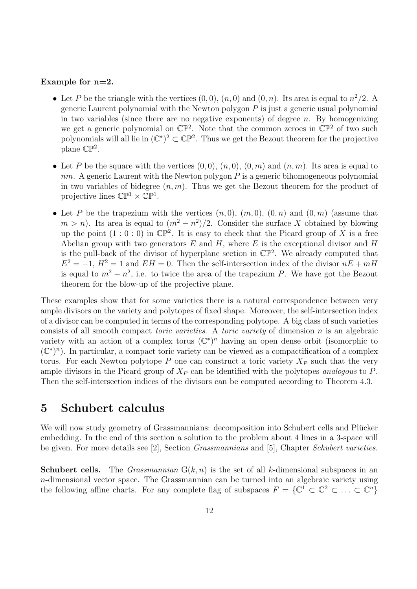#### Example for  $n=2$ .

- Let P be the triangle with the vertices  $(0,0)$ ,  $(n,0)$  and  $(0,n)$ . Its area is equal to  $n^2/2$ . A generic Laurent polynomial with the Newton polygon  $P$  is just a generic usual polynomial in two variables (since there are no negative exponents) of degree  $n$ . By homogenizing we get a generic polynomial on  $\mathbb{CP}^2$ . Note that the common zeroes in  $\mathbb{CP}^2$  of two such polynomials will all lie in  $(\mathbb{C}^*)^2 \subset \mathbb{CP}^2$ . Thus we get the Bezout theorem for the projective plane  $\mathbb{CP}^2$ .
- Let P be the square with the vertices  $(0, 0)$ ,  $(n, 0)$ ,  $(0, m)$  and  $(n, m)$ . Its area is equal to  $nm$ . A generic Laurent with the Newton polygon  $P$  is a generic bihomogeneous polynomial in two variables of bidegree  $(n, m)$ . Thus we get the Bezout theorem for the product of projective lines  $\mathbb{CP}^1 \times \mathbb{CP}^1$ .
- Let P be the trapezium with the vertices  $(n, 0)$ ,  $(m, 0)$ ,  $(0, n)$  and  $(0, m)$  (assume that  $m > n$ ). Its area is equal to  $\left(m^2 - n^2\right)/2$ . Consider the surface X obtained by blowing up the point  $(1:0:0)$  in  $\mathbb{CP}^2$ . It is easy to check that the Picard group of X is a free Abelian group with two generators  $E$  and  $H$ , where  $E$  is the exceptional divisor and  $H$ is the pull-back of the divisor of hyperplane section in  $\mathbb{CP}^2$ . We already computed that  $E^2 = -1$ ,  $H^2 = 1$  and  $EH = 0$ . Then the self-intersection index of the divisor  $nE + mH$ is equal to  $m^2 - n^2$ , i.e. to twice the area of the trapezium P. We have got the Bezout theorem for the blow-up of the projective plane.

These examples show that for some varieties there is a natural correspondence between very ample divisors on the variety and polytopes of fixed shape. Moreover, the self-intersection index of a divisor can be computed in terms of the corresponding polytope. A big class of such varieties consists of all smooth compact *toric varieties*. A *toric variety* of dimension n is an algebraic variety with an action of a complex torus  $(\mathbb{C}^*)^n$  having an open dense orbit (isomorphic to  $(\mathbb{C}^*)^n$ ). In particular, a compact toric variety can be viewed as a compactification of a complex torus. For each Newton polytope P one can construct a toric variety  $X_P$  such that the very ample divisors in the Picard group of  $X_P$  can be identified with the polytopes *analogous* to P. Then the self-intersection indices of the divisors can be computed according to Theorem 4.3.

## 5 Schubert calculus

We will now study geometry of Grassmannians: decomposition into Schubert cells and Plücker embedding. In the end of this section a solution to the problem about 4 lines in a 3-space will be given. For more details see [2], Section Grassmannians and [5], Chapter Schubert varieties.

**Schubert cells.** The *Grassmannian*  $G(k, n)$  is the set of all k-dimensional subspaces in an n-dimensional vector space. The Grassmannian can be turned into an algebraic variety using the following affine charts. For any complete flag of subspaces  $F = \{ \mathbb{C}^1 \subset \mathbb{C}^2 \subset \ldots \subset \mathbb{C}^n \}$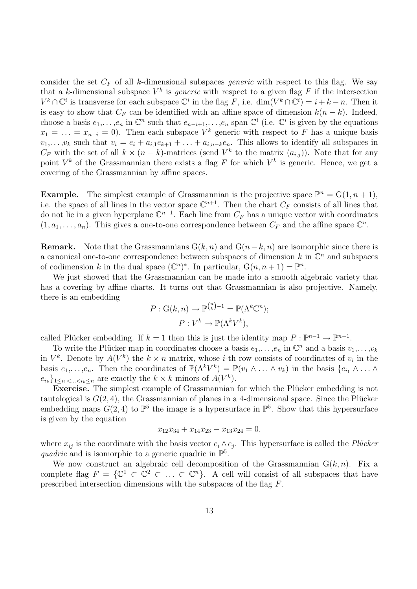consider the set  $C_F$  of all k-dimensional subspaces *generic* with respect to this flag. We say that a k-dimensional subspace  $V^k$  is *generic* with respect to a given flag F if the intersection  $V^k \cap \mathbb{C}^i$  is transverse for each subspace  $\mathbb{C}^i$  in the flag F, i.e.  $\dim(V^k \cap \mathbb{C}^i) = i + k - n$ . Then it is easy to show that  $C_F$  can be identified with an affine space of dimension  $k(n - k)$ . Indeed, choose a basis  $e_1, \ldots, e_n$  in  $\mathbb{C}^n$  such that  $e_{n-i+1}, \ldots, e_n$  span  $\mathbb{C}^i$  (i.e.  $\mathbb{C}^i$  is given by the equations  $x_1 = \ldots = x_{n-i} = 0$ . Then each subspace  $V^k$  generic with respect to F has a unique basis  $v_1,\ldots,v_k$  such that  $v_i = e_i + a_{i,1}e_{k+1} + \ldots + a_{i,n-k}e_n$ . This allows to identify all subspaces in  $C_F$  with the set of all  $k \times (n-k)$ -matrices (send  $V^k$  to the matrix  $(a_{i,j})$ ). Note that for any point  $V^k$  of the Grassmannian there exists a flag F for which  $V^k$  is generic. Hence, we get a covering of the Grassmannian by affine spaces.

**Example.** The simplest example of Grassmannian is the projective space  $\mathbb{P}^n = G(1, n+1)$ , i.e. the space of all lines in the vector space  $\mathbb{C}^{n+1}$ . Then the chart  $C_F$  consists of all lines that do not lie in a given hyperplane  $\mathbb{C}^{n-1}$ . Each line from  $C_F$  has a unique vector with coordinates  $(1, a_1, \ldots, a_n)$ . This gives a one-to-one correspondence between  $C_F$  and the affine space  $\mathbb{C}^n$ .

**Remark.** Note that the Grassmannians  $G(k, n)$  and  $G(n-k, n)$  are isomorphic since there is a canonical one-to-one correspondence between subspaces of dimension k in  $\mathbb{C}^n$  and subspaces of codimension k in the dual space  $(\mathbb{C}^n)^*$ . In particular,  $G(n, n+1) = \mathbb{P}^n$ .

We just showed that the Grassmannian can be made into a smooth algebraic variety that has a covering by affine charts. It turns out that Grassmannian is also projective. Namely, there is an embedding

$$
P: G(k, n) \to \mathbb{P}^{\binom{n}{k}-1} = \mathbb{P}(\Lambda^k \mathbb{C}^n);
$$

$$
P: V^k \mapsto \mathbb{P}(\Lambda^k V^k),
$$

called Plücker embedding. If  $k = 1$  then this is just the identity map  $P : \mathbb{P}^{n-1} \to \mathbb{P}^{n-1}$ .

To write the Plücker map in coordinates choose a basis  $e_1, \ldots, e_n$  in  $\mathbb{C}^n$  and a basis  $v_1, \ldots, v_k$ in  $V^k$ . Denote by  $A(V^k)$  the  $k \times n$  matrix, whose *i*-th row consists of coordinates of  $v_i$  in the basis  $e_1, \ldots, e_n$ . Then the coordinates of  $\mathbb{P}(\Lambda^k V^k) = \mathbb{P}(v_1 \wedge \ldots \wedge v_k)$  in the basis  $\{e_{i_1} \wedge \ldots \wedge e_{i_k}\}$  $e_{i_k}\}_{1 \leq i_1 < \ldots < i_k \leq n}$  are exactly the  $k \times k$  minors of  $A(V^k)$ .

**Exercise.** The simplest example of Grassmannian for which the Plücker embedding is not tautological is  $G(2, 4)$ , the Grassmannian of planes in a 4-dimensional space. Since the Plücker embedding maps  $G(2,4)$  to  $\mathbb{P}^5$  the image is a hypersurface in  $\mathbb{P}^5$ . Show that this hypersurface is given by the equation

$$
x_{12}x_{34} + x_{14}x_{23} - x_{13}x_{24} = 0,
$$

where  $x_{ij}$  is the coordinate with the basis vector  $e_i \wedge e_j$ . This hypersurface is called the *Plücker* quadric and is isomorphic to a generic quadric in  $\mathbb{P}^5$ .

We now construct an algebraic cell decomposition of the Grassmannian  $G(k, n)$ . Fix a complete flag  $F = \{ \mathbb{C}^1 \subset \mathbb{C}^2 \subset \ldots \subset \mathbb{C}^n \}.$  A cell will consist of all subspaces that have prescribed intersection dimensions with the subspaces of the flag F.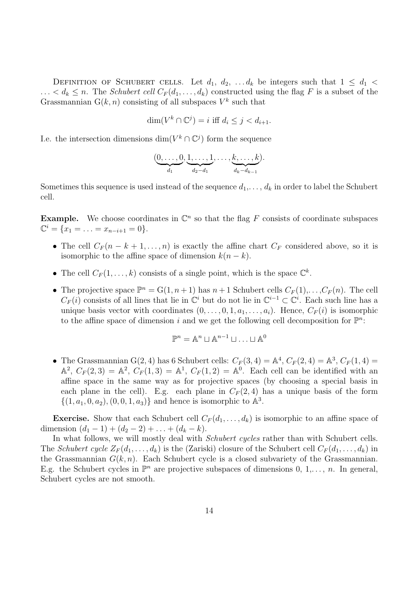DEFINITION OF SCHUBERT CELLS. Let  $d_1, d_2, \ldots, d_k$  be integers such that  $1 \leq d_1$  $\ldots < d_k \leq n$ . The *Schubert cell*  $C_F(d_1, \ldots, d_k)$  constructed using the flag F is a subset of the Grassmannian  $G(k, n)$  consisting of all subspaces  $V^k$  such that

$$
\dim(V^k \cap \mathbb{C}^j) = i \text{ iff } d_i \le j < d_{i+1}.
$$

I.e. the intersection dimensions  $\dim(V^k \cap \mathbb{C}^j)$  form the sequence

$$
(\underbrace{0,\ldots,0}_{d_1},\underbrace{1,\ldots,1}_{d_2-d_1},\ldots,\underbrace{k,\ldots,k}_{d_k-d_{k-1}}).
$$

Sometimes this sequence is used instead of the sequence  $d_1, \ldots, d_k$  in order to label the Schubert cell.

**Example.** We choose coordinates in  $\mathbb{C}^n$  so that the flag F consists of coordinate subspaces  $\mathbb{C}^i = \{x_1 = \ldots = x_{n-i+1} = 0\}.$ 

- The cell  $C_F(n-k+1,\ldots,n)$  is exactly the affine chart  $C_F$  considered above, so it is isomorphic to the affine space of dimension  $k(n - k)$ .
- The cell  $C_F(1,\ldots,k)$  consists of a single point, which is the space  $\mathbb{C}^k$ .
- The projective space  $\mathbb{P}^n = G(1, n+1)$  has  $n+1$  Schubert cells  $C_F(1), \ldots, C_F(n)$ . The cell  $C_F(i)$  consists of all lines that lie in  $\mathbb{C}^i$  but do not lie in  $\mathbb{C}^{i-1} \subset \mathbb{C}^i$ . Each such line has a unique basis vector with coordinates  $(0, \ldots, 0, 1, a_1, \ldots, a_i)$ . Hence,  $C_F(i)$  is isomorphic to the affine space of dimension i and we get the following cell decomposition for  $\mathbb{P}^n$ :

$$
\mathbb{P}^n = \mathbb{A}^n \sqcup \mathbb{A}^{n-1} \sqcup \ldots \sqcup \mathbb{A}^0
$$

• The Grassmannian G(2, 4) has 6 Schubert cells:  $C_F(3, 4) = \mathbb{A}^4$ ,  $C_F(2, 4) = \mathbb{A}^3$ ,  $C_F(1, 4) =$  $\mathbb{A}^2$ ,  $C_F(2,3) = \mathbb{A}^2$ ,  $C_F(1,3) = \mathbb{A}^1$ ,  $C_F(1,2) = \mathbb{A}^0$ . Each cell can be identified with an affine space in the same way as for projective spaces (by choosing a special basis in each plane in the cell). E.g. each plane in  $C_F(2, 4)$  has a unique basis of the form  $\{(1, a_1, 0, a_2), (0, 0, 1, a_3)\}\$ and hence is isomorphic to  $\mathbb{A}^3$ .

**Exercise.** Show that each Schubert cell  $C_F(d_1, \ldots, d_k)$  is isomorphic to an affine space of dimension  $(d_1 - 1) + (d_2 - 2) + \ldots + (d_k - k)$ .

In what follows, we will mostly deal with *Schubert cycles* rather than with Schubert cells. The Schubert cycle  $Z_F(d_1,\ldots,d_k)$  is the (Zariski) closure of the Schubert cell  $C_F(d_1,\ldots,d_k)$  in the Grassmannian  $G(k, n)$ . Each Schubert cycle is a closed subvariety of the Grassmannian. E.g. the Schubert cycles in  $\mathbb{P}^n$  are projective subspaces of dimensions  $0, 1, \ldots, n$ . In general, Schubert cycles are not smooth.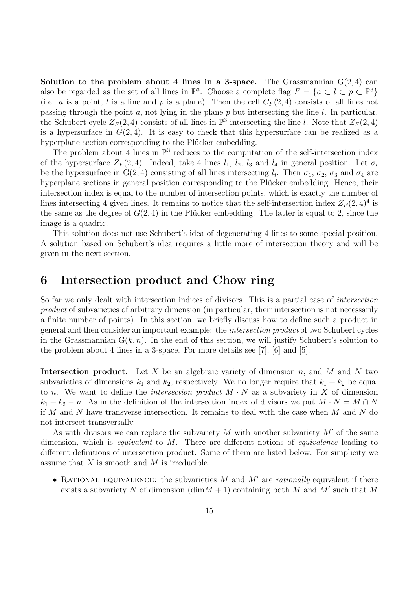Solution to the problem about 4 lines in a 3-space. The Grassmannian  $G(2, 4)$  can also be regarded as the set of all lines in  $\mathbb{P}^3$ . Choose a complete flag  $F = \{a \subset l \subset p \subset \mathbb{P}^3\}$ (i.e. a is a point, l is a line and p is a plane). Then the cell  $C_F(2, 4)$  consists of all lines not passing through the point  $a$ , not lying in the plane  $p$  but intersecting the line  $l$ . In particular, the Schubert cycle  $Z_F(2,4)$  consists of all lines in  $\mathbb{P}^3$  intersecting the line l. Note that  $Z_F(2,4)$ is a hypersurface in  $G(2,4)$ . It is easy to check that this hypersurface can be realized as a hyperplane section corresponding to the Plücker embedding.

The problem about 4 lines in  $\mathbb{P}^3$  reduces to the computation of the self-intersection index of the hypersurface  $Z_F(2,4)$ . Indeed, take 4 lines  $l_1$ ,  $l_2$ ,  $l_3$  and  $l_4$  in general position. Let  $\sigma_i$ be the hypersurface in  $G(2,4)$  consisting of all lines intersecting  $l_i$ . Then  $\sigma_1$ ,  $\sigma_2$ ,  $\sigma_3$  and  $\sigma_4$  are hyperplane sections in general position corresponding to the Plücker embedding. Hence, their intersection index is equal to the number of intersection points, which is exactly the number of lines intersecting 4 given lines. It remains to notice that the self-intersection index  $Z_F(2,4)^4$  is the same as the degree of  $G(2,4)$  in the Plücker embedding. The latter is equal to 2, since the image is a quadric.

This solution does not use Schubert's idea of degenerating 4 lines to some special position. A solution based on Schubert's idea requires a little more of intersection theory and will be given in the next section.

### 6 Intersection product and Chow ring

So far we only dealt with intersection indices of divisors. This is a partial case of *intersection* product of subvarieties of arbitrary dimension (in particular, their intersection is not necessarily a finite number of points). In this section, we briefly discuss how to define such a product in general and then consider an important example: the intersection product of two Schubert cycles in the Grassmannian  $G(k, n)$ . In the end of this section, we will justify Schubert's solution to the problem about 4 lines in a 3-space. For more details see [7], [6] and [5].

**Intersection product.** Let  $X$  be an algebraic variety of dimension  $n$ , and  $M$  and  $N$  two subvarieties of dimensions  $k_1$  and  $k_2$ , respectively. We no longer require that  $k_1 + k_2$  be equal to n. We want to define the *intersection product*  $M \cdot N$  as a subvariety in X of dimension  $k_1 + k_2 - n$ . As in the definition of the intersection index of divisors we put  $M \cdot N = M \cap N$ if M and N have transverse intersection. It remains to deal with the case when M and N do not intersect transversally.

As with divisors we can replace the subvariety  $M$  with another subvariety  $M'$  of the same dimension, which is *equivalent* to M. There are different notions of *equivalence* leading to different definitions of intersection product. Some of them are listed below. For simplicity we assume that  $X$  is smooth and  $M$  is irreducible.

• RATIONAL EQUIVALENCE: the subvarieties  $M$  and  $M'$  are *rationally* equivalent if there exists a subvariety N of dimension  $(\dim M + 1)$  containing both M and M' such that M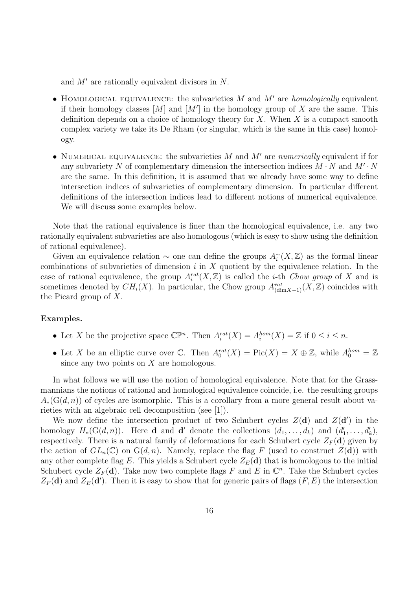and  $M'$  are rationally equivalent divisors in N.

- HOMOLOGICAL EQUIVALENCE: the subvarieties  $M$  and  $M'$  are *homologically* equivalent if their homology classes  $[M]$  and  $[M']$  in the homology group of X are the same. This definition depends on a choice of homology theory for  $X$ . When  $X$  is a compact smooth complex variety we take its De Rham (or singular, which is the same in this case) homology.
- NUMERICAL EQUIVALENCE: the subvarieties  $M$  and  $M'$  are numerically equivalent if for any subvariety N of complementary dimension the intersection indices  $M \cdot N$  and  $M' \cdot N$ are the same. In this definition, it is assumed that we already have some way to define intersection indices of subvarieties of complementary dimension. In particular different definitions of the intersection indices lead to different notions of numerical equivalence. We will discuss some examples below.

Note that the rational equivalence is finer than the homological equivalence, i.e. any two rationally equivalent subvarieties are also homologous (which is easy to show using the definition of rational equivalence).

Given an equivalence relation  $\sim$  one can define the groups  $A_i^{\sim}(X,\mathbb{Z})$  as the formal linear combinations of subvarieties of dimension  $i$  in  $X$  quotient by the equivalence relation. In the case of rational equivalence, the group  $A_i^{rat}(X, \mathbb{Z})$  is called the *i*-th *Chow group* of X and is sometimes denoted by  $CH_i(X)$ . In particular, the Chow group  $A^{rat}_{(\text{dim}X-1)}(X,\mathbb{Z})$  coincides with the Picard group of X.

#### Examples.

- Let X be the projective space  $\mathbb{CP}^n$ . Then  $A_i^{rat}(X) = A_i^{hom}(X) = \mathbb{Z}$  if  $0 \le i \le n$ .
- Let X be an elliptic curve over C. Then  $A_0^{rat}(X) = Pic(X) = X \oplus \mathbb{Z}$ , while  $A_0^{hom} = \mathbb{Z}$ since any two points on  $X$  are homologous.

In what follows we will use the notion of homological equivalence. Note that for the Grassmannians the notions of rational and homological equivalence coincide, i.e. the resulting groups  $A_*(G(d, n))$  of cycles are isomorphic. This is a corollary from a more general result about varieties with an algebraic cell decomposition (see [1]).

We now define the intersection product of two Schubert cycles  $Z(\mathbf{d})$  and  $Z(\mathbf{d}')$  in the homology  $H_*(G(d,n))$ . Here **d** and **d'** denote the collections  $(d_1, \ldots, d_k)$  and  $(d'_1, \ldots, d'_k)$ , respectively. There is a natural family of deformations for each Schubert cycle  $Z_F(d)$  given by the action of  $GL_n(\mathbb{C})$  on  $G(d, n)$ . Namely, replace the flag F (used to construct  $Z(d)$ ) with any other complete flag E. This yields a Schubert cycle  $Z_E(d)$  that is homologous to the initial Schubert cycle  $Z_F(d)$ . Take now two complete flags F and E in  $\mathbb{C}^n$ . Take the Schubert cycles  $Z_F(\mathbf{d})$  and  $Z_E(\mathbf{d}')$ . Then it is easy to show that for generic pairs of flags  $(F, E)$  the intersection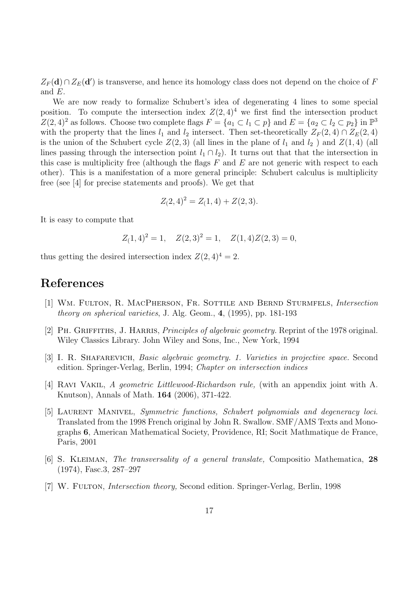$Z_F(d) \cap Z_E(d')$  is transverse, and hence its homology class does not depend on the choice of F and E.

We are now ready to formalize Schubert's idea of degenerating 4 lines to some special position. To compute the intersection index  $Z(2,4)^4$  we first find the intersection product  $Z(2, 4)^2$  as follows. Choose two complete flags  $F = \{a_1 \subset l_1 \subset p\}$  and  $E = \{a_2 \subset l_2 \subset p_2\}$  in  $\mathbb{P}^3$ with the property that the lines  $l_1$  and  $l_2$  intersect. Then set-theoretically  $Z_F(2,4) \cap Z_E(2,4)$ is the union of the Schubert cycle  $Z(2,3)$  (all lines in the plane of  $l_1$  and  $l_2$ ) and  $Z(1,4)$  (all lines passing through the intersection point  $l_1 \cap l_2$ ). It turns out that that the intersection in this case is multiplicity free (although the flags  $F$  and  $E$  are not generic with respect to each other). This is a manifestation of a more general principle: Schubert calculus is multiplicity free (see [4] for precise statements and proofs). We get that

$$
Z(2,4)^2 = Z(1,4) + Z(2,3).
$$

It is easy to compute that

$$
Z(1,4)^2 = 1
$$
,  $Z(2,3)^2 = 1$ ,  $Z(1,4)Z(2,3) = 0$ ,

thus getting the desired intersection index  $Z(2, 4)^4 = 2$ .

## References

- [1] Wm. Fulton, R. MacPherson, Fr. Sottile and Bernd Sturmfels, Intersection theory on spherical varieties, J. Alg. Geom., 4, (1995), pp. 181-193
- [2] PH. GRIFFITHS, J. HARRIS, *Principles of algebraic geometry*. Reprint of the 1978 original. Wiley Classics Library. John Wiley and Sons, Inc., New York, 1994
- [3] I. R. Shafarevich, Basic algebraic geometry. 1. Varieties in projective space. Second edition. Springer-Verlag, Berlin, 1994; Chapter on intersection indices
- [4] RAVI VAKIL, A geometric Littlewood-Richardson rule, (with an appendix joint with A. Knutson), Annals of Math. 164 (2006), 371-422.
- [5] Laurent Manivel, Symmetric functions, Schubert polynomials and degeneracy loci. Translated from the 1998 French original by John R. Swallow. SMF/AMS Texts and Monographs 6, American Mathematical Society, Providence, RI; Socit Mathmatique de France, Paris, 2001
- [6] S. KLEIMAN, The transversality of a general translate, Compositio Mathematica, 28 (1974), Fasc.3, 287–297
- [7] W. Fulton, Intersection theory, Second edition. Springer-Verlag, Berlin, 1998